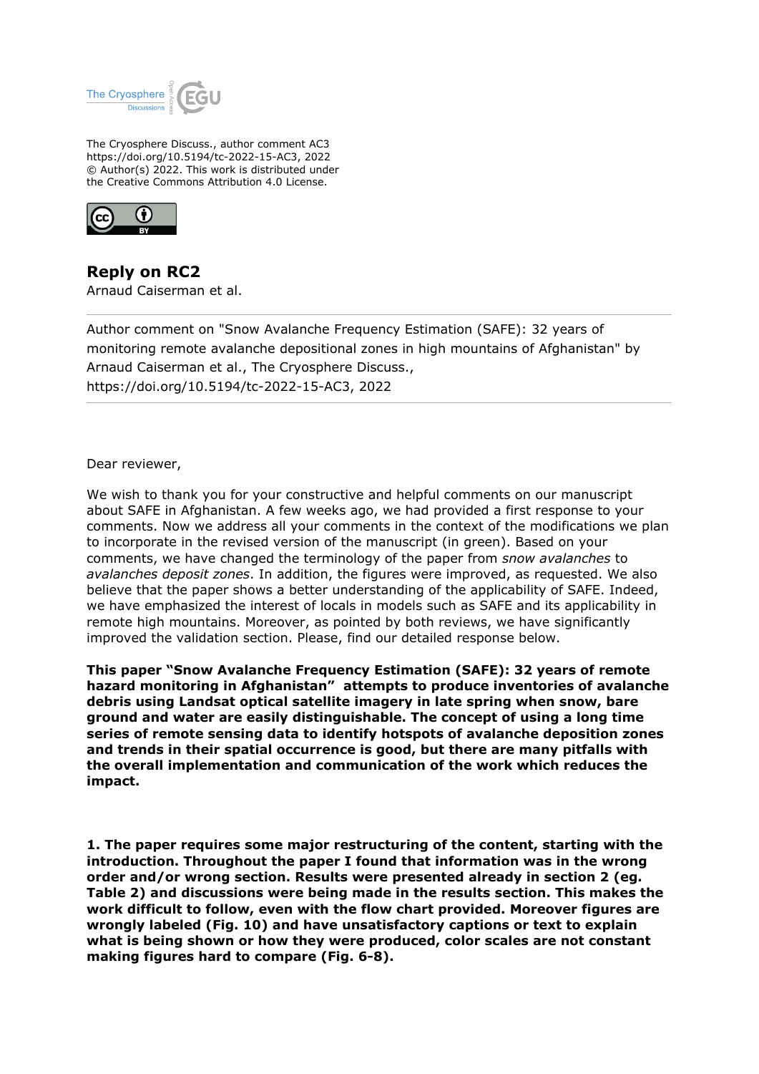

The Cryosphere Discuss., author comment AC3 https://doi.org/10.5194/tc-2022-15-AC3, 2022 © Author(s) 2022. This work is distributed under the Creative Commons Attribution 4.0 License.



**Reply on RC2** Arnaud Caiserman et al.

Author comment on "Snow Avalanche Frequency Estimation (SAFE): 32 years of monitoring remote avalanche depositional zones in high mountains of Afghanistan" by Arnaud Caiserman et al., The Cryosphere Discuss., https://doi.org/10.5194/tc-2022-15-AC3, 2022

Dear reviewer,

We wish to thank you for your constructive and helpful comments on our manuscript about SAFE in Afghanistan. A few weeks ago, we had provided a first response to your comments. Now we address all your comments in the context of the modifications we plan to incorporate in the revised version of the manuscript (in green). Based on your comments, we have changed the terminology of the paper from *snow avalanches* to *avalanches deposit zones*. In addition, the figures were improved, as requested. We also believe that the paper shows a better understanding of the applicability of SAFE. Indeed, we have emphasized the interest of locals in models such as SAFE and its applicability in remote high mountains. Moreover, as pointed by both reviews, we have significantly improved the validation section. Please, find our detailed response below.

**This paper "Snow Avalanche Frequency Estimation (SAFE): 32 years of remote hazard monitoring in Afghanistan" attempts to produce inventories of avalanche debris using Landsat optical satellite imagery in late spring when snow, bare ground and water are easily distinguishable. The concept of using a long time series of remote sensing data to identify hotspots of avalanche deposition zones and trends in their spatial occurrence is good, but there are many pitfalls with the overall implementation and communication of the work which reduces the impact.**

**1. The paper requires some major restructuring of the content, starting with the introduction. Throughout the paper I found that information was in the wrong order and/or wrong section. Results were presented already in section 2 (eg. Table 2) and discussions were being made in the results section. This makes the work difficult to follow, even with the flow chart provided. Moreover figures are wrongly labeled (Fig. 10) and have unsatisfactory captions or text to explain what is being shown or how they were produced, color scales are not constant making figures hard to compare (Fig. 6-8).**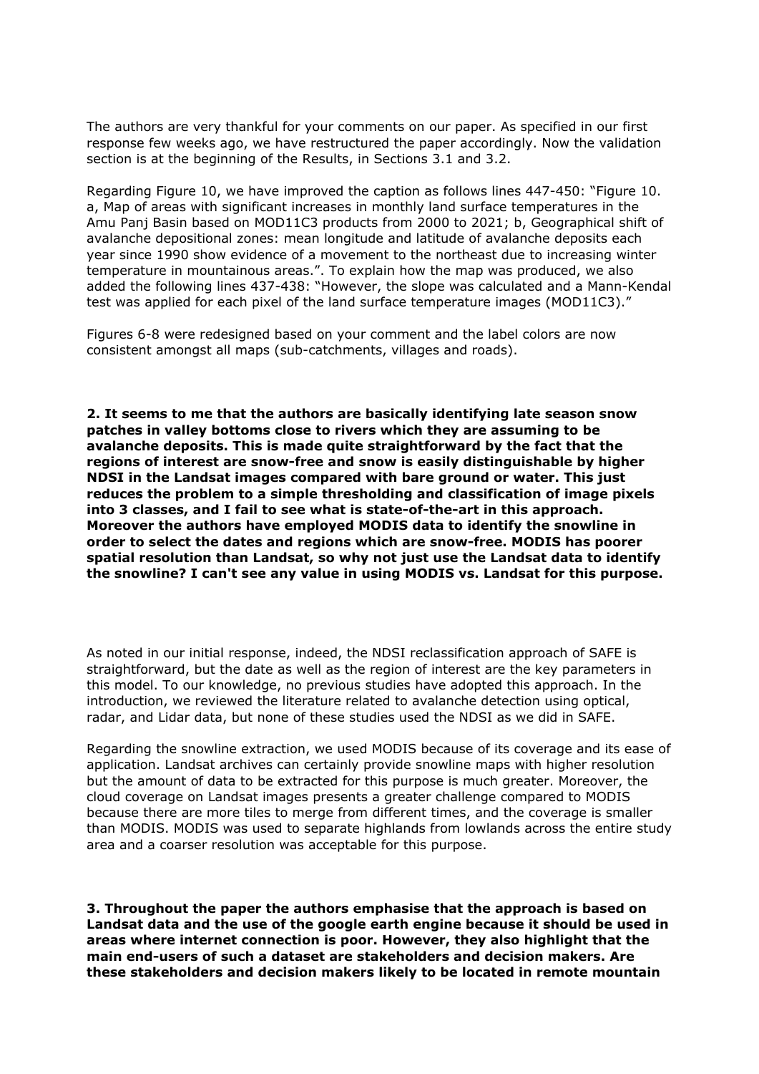The authors are very thankful for your comments on our paper. As specified in our first response few weeks ago, we have restructured the paper accordingly. Now the validation section is at the beginning of the Results, in Sections 3.1 and 3.2.

Regarding Figure 10, we have improved the caption as follows lines 447-450: "Figure 10. a, Map of areas with significant increases in monthly land surface temperatures in the Amu Panj Basin based on MOD11C3 products from 2000 to 2021; b, Geographical shift of avalanche depositional zones: mean longitude and latitude of avalanche deposits each year since 1990 show evidence of a movement to the northeast due to increasing winter temperature in mountainous areas.". To explain how the map was produced, we also added the following lines 437-438: "However, the slope was calculated and a Mann-Kendal test was applied for each pixel of the land surface temperature images (MOD11C3)."

Figures 6-8 were redesigned based on your comment and the label colors are now consistent amongst all maps (sub-catchments, villages and roads).

**2. It seems to me that the authors are basically identifying late season snow patches in valley bottoms close to rivers which they are assuming to be avalanche deposits. This is made quite straightforward by the fact that the regions of interest are snow-free and snow is easily distinguishable by higher NDSI in the Landsat images compared with bare ground or water. This just reduces the problem to a simple thresholding and classification of image pixels into 3 classes, and I fail to see what is state-of-the-art in this approach. Moreover the authors have employed MODIS data to identify the snowline in order to select the dates and regions which are snow-free. MODIS has poorer spatial resolution than Landsat, so why not just use the Landsat data to identify the snowline? I can't see any value in using MODIS vs. Landsat for this purpose.**

As noted in our initial response, indeed, the NDSI reclassification approach of SAFE is straightforward, but the date as well as the region of interest are the key parameters in this model. To our knowledge, no previous studies have adopted this approach. In the introduction, we reviewed the literature related to avalanche detection using optical, radar, and Lidar data, but none of these studies used the NDSI as we did in SAFE.

Regarding the snowline extraction, we used MODIS because of its coverage and its ease of application. Landsat archives can certainly provide snowline maps with higher resolution but the amount of data to be extracted for this purpose is much greater. Moreover, the cloud coverage on Landsat images presents a greater challenge compared to MODIS because there are more tiles to merge from different times, and the coverage is smaller than MODIS. MODIS was used to separate highlands from lowlands across the entire study area and a coarser resolution was acceptable for this purpose.

**3. Throughout the paper the authors emphasise that the approach is based on Landsat data and the use of the google earth engine because it should be used in areas where internet connection is poor. However, they also highlight that the main end-users of such a dataset are stakeholders and decision makers. Are these stakeholders and decision makers likely to be located in remote mountain**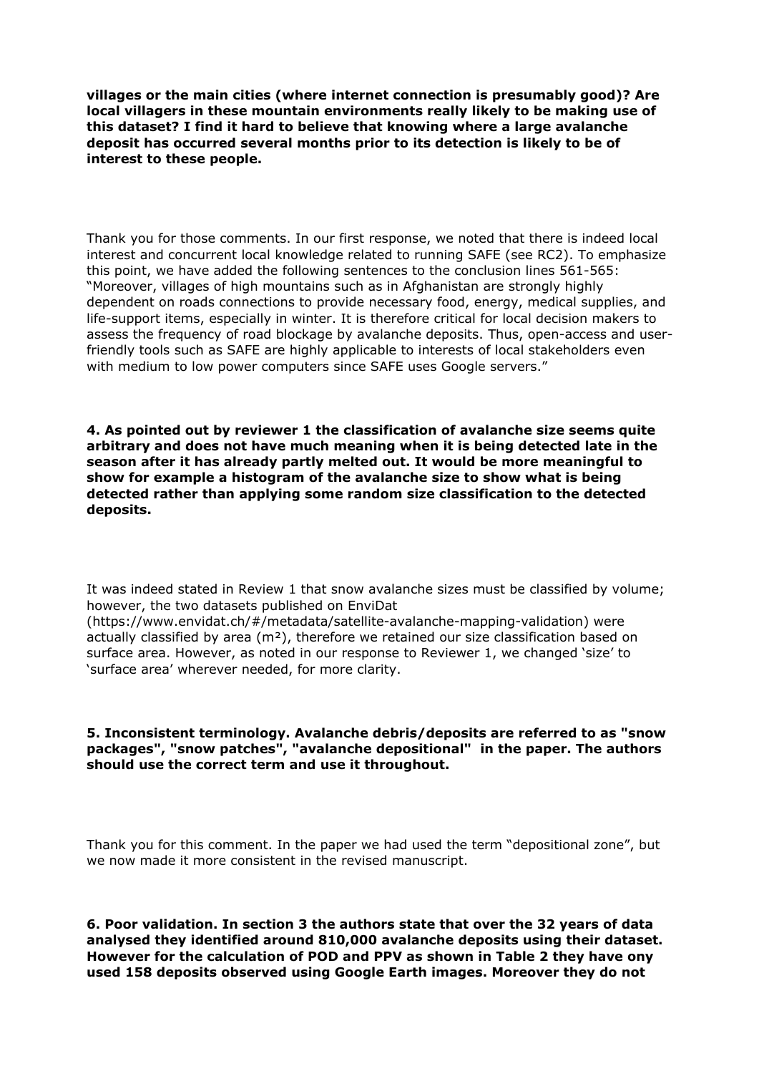**villages or the main cities (where internet connection is presumably good)? Are local villagers in these mountain environments really likely to be making use of this dataset? I find it hard to believe that knowing where a large avalanche deposit has occurred several months prior to its detection is likely to be of interest to these people.**

Thank you for those comments. In our first response, we noted that there is indeed local interest and concurrent local knowledge related to running SAFE (see RC2). To emphasize this point, we have added the following sentences to the conclusion lines 561-565: "Moreover, villages of high mountains such as in Afghanistan are strongly highly dependent on roads connections to provide necessary food, energy, medical supplies, and life-support items, especially in winter. It is therefore critical for local decision makers to assess the frequency of road blockage by avalanche deposits. Thus, open-access and userfriendly tools such as SAFE are highly applicable to interests of local stakeholders even with medium to low power computers since SAFE uses Google servers."

**4. As pointed out by reviewer 1 the classification of avalanche size seems quite arbitrary and does not have much meaning when it is being detected late in the season after it has already partly melted out. It would be more meaningful to show for example a histogram of the avalanche size to show what is being detected rather than applying some random size classification to the detected deposits.**

It was indeed stated in Review 1 that snow avalanche sizes must be classified by volume; however, the two datasets published on EnviDat

(https://www.envidat.ch/#/metadata/satellite-avalanche-mapping-validation) were actually classified by area ( $m<sup>2</sup>$ ), therefore we retained our size classification based on surface area. However, as noted in our response to Reviewer 1, we changed 'size' to 'surface area' wherever needed, for more clarity.

## **5. Inconsistent terminology. Avalanche debris/deposits are referred to as "snow packages", "snow patches", "avalanche depositional" in the paper. The authors should use the correct term and use it throughout.**

Thank you for this comment. In the paper we had used the term "depositional zone", but we now made it more consistent in the revised manuscript.

**6. Poor validation. In section 3 the authors state that over the 32 years of data analysed they identified around 810,000 avalanche deposits using their dataset. However for the calculation of POD and PPV as shown in Table 2 they have ony used 158 deposits observed using Google Earth images. Moreover they do not**